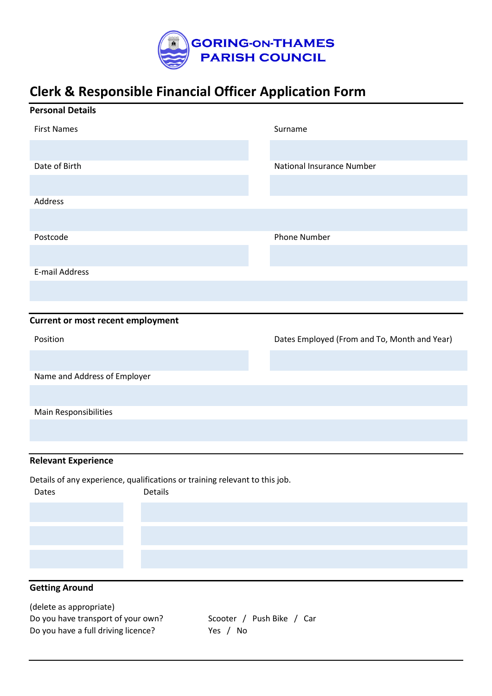

## **Clerk & Responsible Financial Officer Application Form**

| <b>Personal Details</b>                                                                         |                                              |
|-------------------------------------------------------------------------------------------------|----------------------------------------------|
| <b>First Names</b>                                                                              | Surname                                      |
|                                                                                                 |                                              |
| Date of Birth                                                                                   | National Insurance Number                    |
|                                                                                                 |                                              |
| Address                                                                                         |                                              |
|                                                                                                 |                                              |
| Postcode                                                                                        | <b>Phone Number</b>                          |
|                                                                                                 |                                              |
| <b>E-mail Address</b>                                                                           |                                              |
|                                                                                                 |                                              |
| <b>Current or most recent employment</b>                                                        |                                              |
| Position                                                                                        | Dates Employed (From and To, Month and Year) |
|                                                                                                 |                                              |
| Name and Address of Employer                                                                    |                                              |
|                                                                                                 |                                              |
| Main Responsibilities                                                                           |                                              |
|                                                                                                 |                                              |
| <b>Relevant Experience</b>                                                                      |                                              |
|                                                                                                 |                                              |
| Details of any experience, qualifications or training relevant to this job.<br>Details<br>Dates |                                              |
|                                                                                                 |                                              |
|                                                                                                 |                                              |
|                                                                                                 |                                              |
|                                                                                                 |                                              |
| <b>Getting Around</b>                                                                           |                                              |

| (delete as appropriate)             |                           |
|-------------------------------------|---------------------------|
| Do you have transport of your own?  | Scooter / Push Bike / Car |
| Do you have a full driving licence? | Yes / No                  |